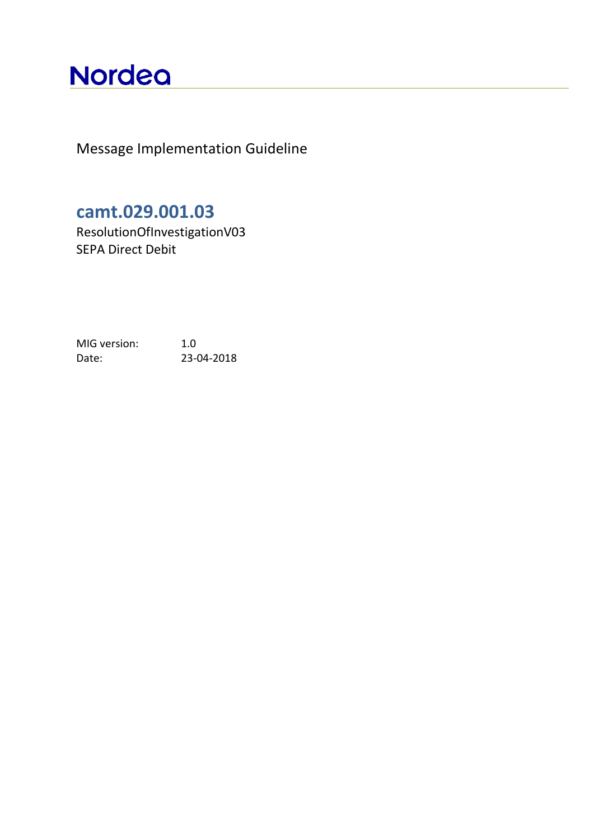# **Nordea**

Message Implementation Guideline

## **camt.029.001.03**

ResolutionOfInvestigationV03 SEPA Direct Debit

MIG version: 1.0 Date: 23-04-2018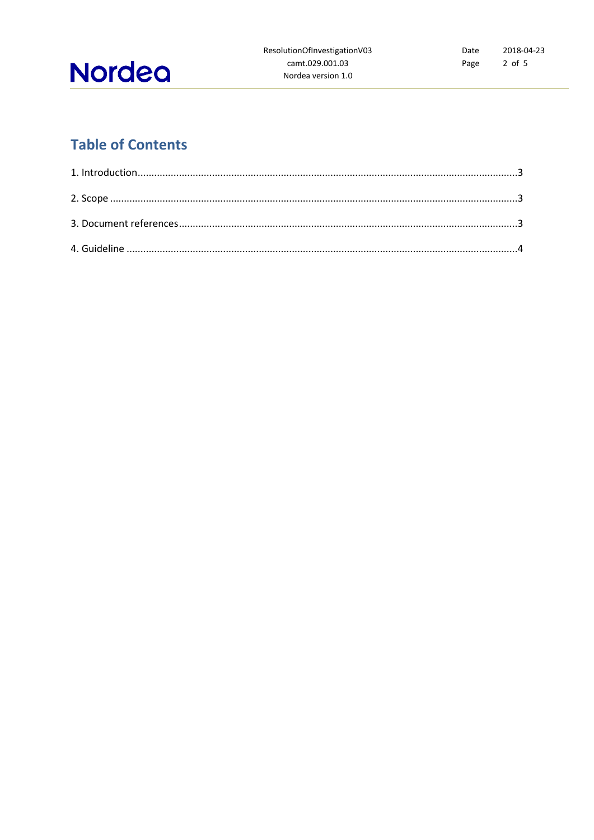

## **Table of Contents**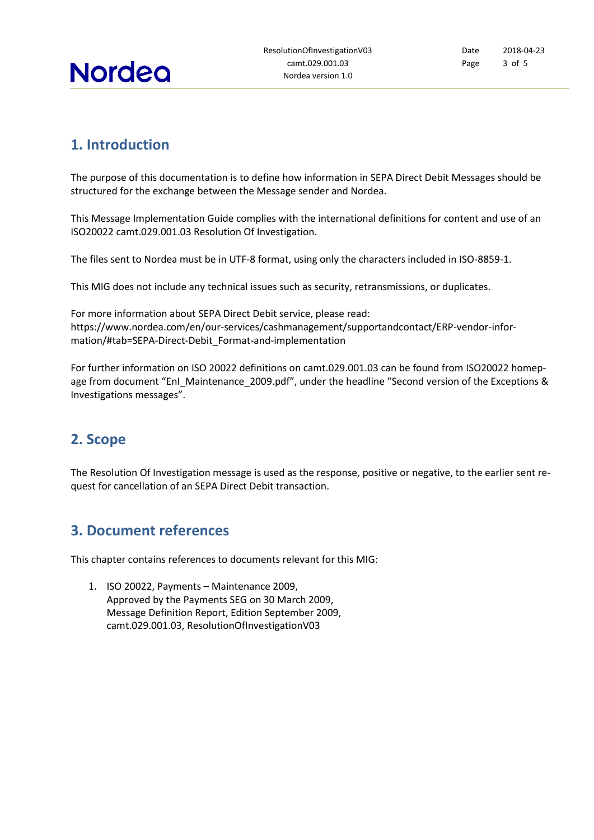

Date Page 2018-04-23 3 of 5

### <span id="page-2-0"></span>**1. Introduction**

The purpose of this documentation is to define how information in SEPA Direct Debit Messages should be structured for the exchange between the Message sender and Nordea.

This Message Implementation Guide complies with the international definitions for content and use of an ISO20022 camt.029.001.03 Resolution Of Investigation.

The files sent to Nordea must be in UTF-8 format, using only the characters included in ISO-8859-1.

This MIG does not include any technical issues such as security, retransmissions, or duplicates.

For more information about SEPA Direct Debit service, please read: [https://www.nordea.com/en/our-services/cashmanagement/supportandcontact/ERP-vendor-infor](https://www.nordea.com/en/our-services/cashmanagement/supportandcontact/ERP-vendor-information/%23tab=SEPA-Direct-Debit_Format-and-implementation)[mation/#tab=SEPA-Direct-Debit\\_Format-and-implementation](https://www.nordea.com/en/our-services/cashmanagement/supportandcontact/ERP-vendor-information/%23tab=SEPA-Direct-Debit_Format-and-implementation)

For further information on ISO 20022 definitions on camt.029.001.03 can be found from [ISO20022](http://www.iso20022.org/payments_messages.page) homepage from document "EnI\_Maintenance\_2009.pdf", under the headline "Second version of the Exceptions & Investigations messages".

#### <span id="page-2-1"></span>**2. Scope**

<span id="page-2-2"></span>The Resolution Of Investigation message is used as the response, positive or negative, to the earlier sent request for cancellation of an SEPA Direct Debit transaction.

#### **3. Document references**

This chapter contains references to documents relevant for this MIG:

1. ISO 20022, Payments – Maintenance 2009, Approved by the Payments SEG on 30 March 2009, Message Definition Report, Edition September 2009, camt.029.001.03, ResolutionOfInvestigationV03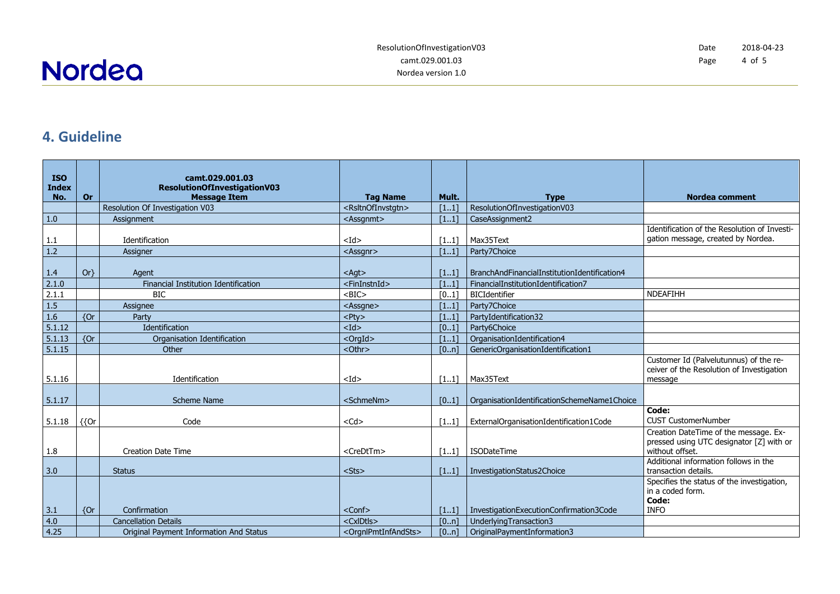**Nordea** 

#### **4. Guideline**

<span id="page-3-0"></span>

| <b>ISO</b><br><b>Index</b> |         | camt.029.001.03<br>ResolutionOfInvestigationV03 |                                         |       |                                              |                                                                                                      |
|----------------------------|---------|-------------------------------------------------|-----------------------------------------|-------|----------------------------------------------|------------------------------------------------------------------------------------------------------|
| No.                        | Or      | <b>Message Item</b>                             | <b>Tag Name</b>                         | Mult. | <b>Type</b>                                  | <b>Nordea comment</b>                                                                                |
|                            |         | Resolution Of Investigation V03                 | <rsltnofinvstgtn></rsltnofinvstgtn>     | [11]  | ResolutionOfInvestigationV03                 |                                                                                                      |
| $1.0$                      |         | Assignment                                      | <assgnmt></assgnmt>                     | [11]  | CaseAssignment2                              |                                                                                                      |
|                            |         |                                                 |                                         |       |                                              | Identification of the Resolution of Investi-                                                         |
| 1.1                        |         | Identification                                  | $<$ Id $>$                              | [11]  | Max35Text                                    | gation message, created by Nordea.                                                                   |
| 1.2                        |         | Assigner                                        | <assgnr></assgnr>                       | [11]  | Party7Choice                                 |                                                                                                      |
|                            |         |                                                 |                                         |       |                                              |                                                                                                      |
| 1.4                        | $Or\}$  | Agent                                           | $<$ Agt $>$                             | [11]  | BranchAndFinancialInstitutionIdentification4 |                                                                                                      |
| 2.1.0                      |         | Financial Institution Identification            | <fininstnid></fininstnid>               | [11]  | FinancialInstitutionIdentification7          |                                                                                                      |
| 2.1.1                      |         | <b>BIC</b>                                      | $<$ BIC $>$                             | [01]  | <b>BICIdentifier</b>                         | <b>NDEAFIHH</b>                                                                                      |
| 1.5                        |         | Assignee                                        | <assgne></assgne>                       | [11]  | Party7Choice                                 |                                                                                                      |
| 1.6                        | ${or}$  | Party                                           | $<$ Pty $>$                             | [11]  | PartyIdentification32                        |                                                                                                      |
| 5.1.12                     |         | Identification                                  | $<$ Id $>$                              | [01]  | Party6Choice                                 |                                                                                                      |
| 5.1.13                     | ${or}$  | Organisation Identification                     | $<$ OrgId $>$                           | [11]  | OrganisationIdentification4                  |                                                                                                      |
| 5.1.15                     |         | Other                                           | <othr></othr>                           | [0n]  | GenericOrganisationIdentification1           |                                                                                                      |
| 5.1.16                     |         | Identification                                  | $<$ Id $>$                              | [11]  | Max35Text                                    | Customer Id (Palvelutunnus) of the re-<br>ceiver of the Resolution of Investigation<br>message       |
|                            |         |                                                 |                                         |       |                                              |                                                                                                      |
| 5.1.17                     |         | <b>Scheme Name</b>                              | <schmenm></schmenm>                     | [01]  | OrganisationIdentificationSchemeName1Choice  |                                                                                                      |
| 5.1.18                     | $\{$ or | Code                                            | $<$ Cd $>$                              | [11]  | ExternalOrganisationIdentification1Code      | Code:<br><b>CUST CustomerNumber</b>                                                                  |
| 1.8                        |         | <b>Creation Date Time</b>                       | <credttm></credttm>                     | [11]  | <b>ISODateTime</b>                           | Creation DateTime of the message. Ex-<br>pressed using UTC designator [Z] with or<br>without offset. |
|                            |         | <b>Status</b>                                   |                                         |       |                                              | Additional information follows in the<br>transaction details.                                        |
| 3.0                        |         |                                                 | $<$ Sts $>$                             | [11]  | InvestigationStatus2Choice                   | Specifies the status of the investigation,                                                           |
|                            |         |                                                 |                                         |       |                                              | in a coded form.                                                                                     |
|                            |         |                                                 |                                         |       |                                              | Code:                                                                                                |
| 3.1                        | ${or}$  | Confirmation                                    | <conf></conf>                           | [11]  | InvestigationExecutionConfirmation3Code      | <b>INFO</b>                                                                                          |
| 4.0                        |         | <b>Cancellation Details</b>                     | <cxidtls></cxidtls>                     | [0n]  | UnderlyingTransaction3                       |                                                                                                      |
| 4.25                       |         | Original Payment Information And Status         | <oranlpmtinfandsts></oranlpmtinfandsts> | [0n]  | OriginalPaymentInformation3                  |                                                                                                      |